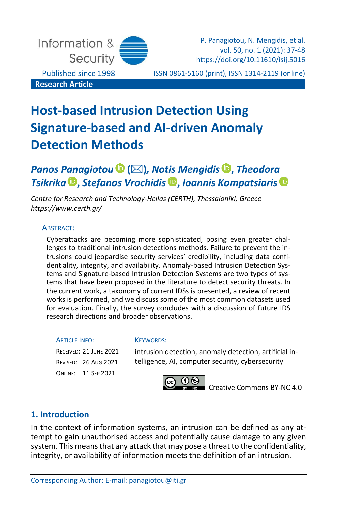

P. Panagiotou, N. Mengidis, et al. vol. 50, no. 1 (2021): 37-48 https://doi.org/10.11610/isij.5016

Published since 1998 ISSN 0861-5160 (print), ISSN 1314-2119 (online)

# **Host-based Intrusion Detection Using Signature-based and AI-driven Anomaly Detection Methods**

## *Panos Panagiotou* **()***, Notis Mengidis* **,** *Theodora Tsikrika* **[,](https://orcid.org/0000-0003-4148-9028)** *Stefanos Vrochidis* **,** *Ioannis Kompatsiaris*

*Centre for Research and Technology-Hellas (CERTH), Thessaloniki, Greece <https://www.certh.gr/>*

#### ABSTRACT:

Cyberattacks are becoming more sophisticated, posing even greater challenges to traditional intrusion detections methods. Failure to prevent the intrusions could jeopardise security services' credibility, including data confidentiality, integrity, and availability. Anomaly-based Intrusion Detection Systems and Signature-based Intrusion Detection Systems are two types of systems that have been proposed in the literature to detect security threats. In the current work, a taxonomy of current IDSs is presented, a review of recent works is performed, and we discuss some of the most common datasets used for evaluation. Finally, the survey concludes with a discussion of future IDS research directions and broader observations.

#### **ARTICLE INFO:**

RECEIVED: 21 JUNE 2021 REVISED: 26 AUG 2021 ONLINE: 11 SEP 2021

#### KEYWORDS:

intrusion detection, anomaly detection, artificial intelligence, AI, computer security, cybersecurity



[Creative Commons BY-NC 4.0](https://creativecommons.org/licenses/by-nc/4.0/legalcode)

## **1. Introduction**

In the context of information systems, an intrusion can be defined as any attempt to gain unauthorised access and potentially cause damage to any given system. This means that any attack that may pose a threat to the confidentiality, integrity, or availability of information meets the definition of an intrusion.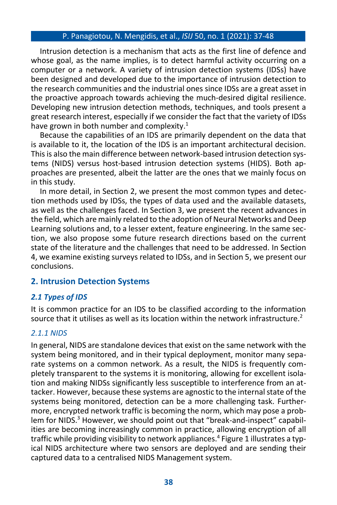Intrusion detection is a mechanism that acts as the first line of defence and whose goal, as the name implies, is to detect harmful activity occurring on a computer or a network. A variety of intrusion detection systems (IDSs) have been designed and developed due to the importance of intrusion detection to the research communities and the industrial ones since IDSs are a great asset in the proactive approach towards achieving the much-desired digital resilience. Developing new intrusion detection methods, techniques, and tools present a great research interest, especially if we consider the fact that the variety of IDSs have grown in both number and complexity. $1$ 

Because the capabilities of an IDS are primarily dependent on the data that is available to it, the location of the IDS is an important architectural decision. This is also the main difference between network-based intrusion detection systems (NIDS) versus host-based intrusion detection systems (HIDS). Both approaches are presented, albeit the latter are the ones that we mainly focus on in this study.

In more detail, in Section 2, we present the most common types and detection methods used by IDSs, the types of data used and the available datasets, as well as the challenges faced. In Section 3, we present the recent advances in the field, which are mainly related to the adoption of Neural Networks and Deep Learning solutions and, to a lesser extent, feature engineering. In the same section, we also propose some future research directions based on the current state of the literature and the challenges that need to be addressed. In Section 4, we examine existing surveys related to IDSs, and in Section 5, we present our conclusions.

## **2. Intrusion Detection Systems**

#### *2.1 Types of IDS*

It is common practice for an IDS to be classified according to the information source that it utilises as well as its location within the network infrastructure.<sup>2</sup>

#### *2.1.1 NIDS*

In general, NIDS are standalone devices that exist on the same network with the system being monitored, and in their typical deployment, monitor many separate systems on a common network. As a result, the NIDS is frequently completely transparent to the systems it is monitoring, allowing for excellent isolation and making NIDSs significantly less susceptible to interference from an attacker. However, because these systems are agnostic to the internal state of the systems being monitored, detection can be a more challenging task. Furthermore, encrypted network traffic is becoming the norm, which may pose a problem for NIDS.<sup>3</sup> However, we should point out that "break-and-inspect" capabilities are becoming increasingly common in practice, allowing encryption of all traffic while providing visibility to network appliances.<sup>4</sup> Figure 1 illustrates a typical NIDS architecture where two sensors are deployed and are sending their captured data to a centralised NIDS Management system.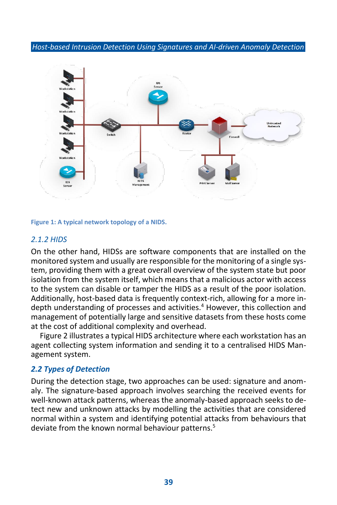

**Figure 1: A typical network topology of a NIDS.**

#### *2.1.2 HIDS*

On the other hand, HIDSs are software components that are installed on the monitored system and usually are responsible for the monitoring of a single system, providing them with a great overall overview of the system state but poor isolation from the system itself, which means that a malicious actor with access to the system can disable or tamper the HIDS as a result of the poor isolation. Additionally, host-based data is frequently context-rich, allowing for a more indepth understanding of processes and activities.<sup>4</sup> However, this collection and management of potentially large and sensitive datasets from these hosts come at the cost of additional complexity and overhead.

Figure 2 illustrates a typical HIDS architecture where each workstation has an agent collecting system information and sending it to a centralised HIDS Management system.

#### *2.2 Types of Detection*

During the detection stage, two approaches can be used: signature and anomaly. The signature-based approach involves searching the received events for well-known attack patterns, whereas the anomaly-based approach seeks to detect new and unknown attacks by modelling the activities that are considered normal within a system and identifying potential attacks from behaviours that deviate from the known normal behaviour patterns.<sup>5</sup>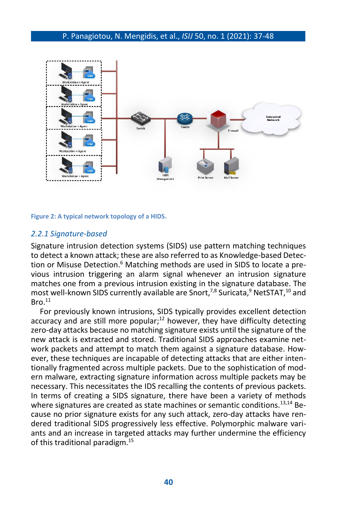

**Figure 2: A typical network topology of a HIDS.**

#### *2.2.1 Signature-based*

Signature intrusion detection systems (SIDS) use pattern matching techniques to detect a known attack; these are also referred to as Knowledge-based Detection or Misuse Detection.<sup>6</sup> Matching methods are used in SIDS to locate a previous intrusion triggering an alarm signal whenever an intrusion signature matches one from a previous intrusion existing in the signature database. The most well-known SIDS currently available are Snort,<sup>7,8</sup> Suricata,<sup>9</sup> NetSTAT,<sup>10</sup> and  $Bro.<sup>11</sup>$ 

For previously known intrusions, SIDS typically provides excellent detection accuracy and are still more popular;<sup>12</sup> however, they have difficulty detecting zero-day attacks because no matching signature exists until the signature of the new attack is extracted and stored. Traditional SIDS approaches examine network packets and attempt to match them against a signature database. However, these techniques are incapable of detecting attacks that are either intentionally fragmented across multiple packets. Due to the sophistication of modern malware, extracting signature information across multiple packets may be necessary. This necessitates the IDS recalling the contents of previous packets. In terms of creating a SIDS signature, there have been a variety of methods where signatures are created as state machines or semantic conditions.<sup>13,14</sup> Because no prior signature exists for any such attack, zero-day attacks have rendered traditional SIDS progressively less effective. Polymorphic malware variants and an increase in targeted attacks may further undermine the efficiency of this traditional paradigm.15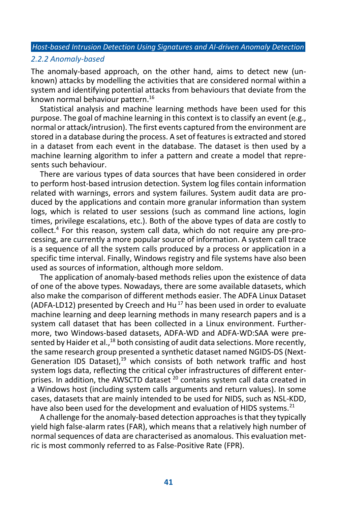#### *2.2.2 Anomaly-based*

The anomaly-based approach, on the other hand, aims to detect new (unknown) attacks by modelling the activities that are considered normal within a system and identifying potential attacks from behaviours that deviate from the known normal behaviour pattern. 16

Statistical analysis and machine learning methods have been used for this purpose. The goal of machine learning in this context is to classify an event (e.g., normal or attack/intrusion). The first events captured from the environment are stored in a database during the process. A set of features is extracted and stored in a dataset from each event in the database. The dataset is then used by a machine learning algorithm to infer a pattern and create a model that represents such behaviour.

There are various types of data sources that have been considered in order to perform host-based intrusion detection. System log files contain information related with warnings, errors and system failures. System audit data are produced by the applications and contain more granular information than system logs, which is related to user sessions (such as command line actions, login times, privilege escalations, etc.). Both of the above types of data are costly to collect.<sup>4</sup> For this reason, system call data, which do not require any pre-processing, are currently a more popular source of information. A system call trace is a sequence of all the system calls produced by a process or application in a specific time interval. Finally, Windows registry and file systems have also been used as sources of information, although more seldom.

The application of anomaly-based methods relies upon the existence of data of one of the above types. Nowadays, there are some available datasets, which also make the comparison of different methods easier. The ADFA Linux Dataset (ADFA-LD12) presented by Creech and Hu<sup>17</sup> has been used in order to evaluate machine learning and deep learning methods in many research papers and is a system call dataset that has been collected in a Linux environment. Furthermore, two Windows-based datasets, ADFA-WD and ADFA-WD:SAA were presented by Haider et al.,<sup>18</sup> both consisting of audit data selections. More recently, the same research group presented a synthetic dataset named NGIDS-DS (Next-Generation IDS Dataset), $19$  which consists of both network traffic and host system logs data, reflecting the critical cyber infrastructures of different enterprises. In addition, the AWSCTD dataset  $^{20}$  contains system call data created in a Windows host (including system calls arguments and return values). In some cases, datasets that are mainly intended to be used for NIDS, such as NSL-KDD, have also been used for the development and evaluation of HIDS systems.<sup>21</sup>

A challenge for the anomaly-based detection approaches is that they typically yield high false-alarm rates (FAR), which means that a relatively high number of normal sequences of data are characterised as anomalous. This evaluation metric is most commonly referred to as False-Positive Rate (FPR).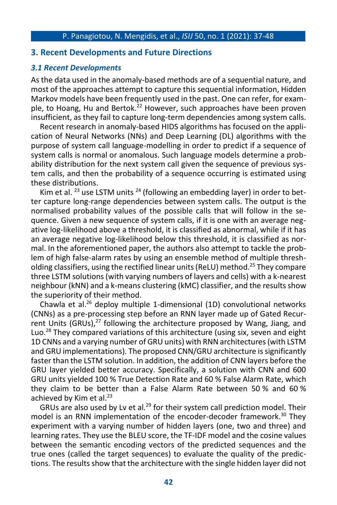#### **3. Recent Developments and Future Directions**

#### *3.1 Recent Developments*

As the data used in the anomaly-based methods are of a sequential nature, and most of the approaches attempt to capture this sequential information, Hidden Markov models have been frequently used in the past. One can refer, for example, to Hoang, Hu and Bertok.<sup>22</sup> However, such approaches have been proven insufficient, as they fail to capture long-term dependencies among system calls.

Recent research in anomaly-based HIDS algorithms has focused on the application of Neural Networks (NNs) and Deep Learning (DL) algorithms with the purpose of system call language-modelling in order to predict if a sequence of system calls is normal or anomalous. Such language models determine a probability distribution for the next system call given the sequence of previous system calls, and then the probability of a sequence occurring is estimated using these distributions.

Kim et al.  $^{23}$  use LSTM units  $^{24}$  (following an embedding layer) in order to better capture long-range dependencies between system calls. The output is the normalised probability values of the possible calls that will follow in the sequence. Given a new sequence of system calls, if it is one with an average negative log-likelihood above a threshold, it is classified as abnormal, while if it has an average negative log-likelihood below this threshold, it is classified as normal. In the aforementioned paper, the authors also attempt to tackle the problem of high false-alarm rates by using an ensemble method of multiple thresholding classifiers, using the rectified linear units (ReLU) method.<sup>25</sup> They compare three LSTM solutions (with varying numbers of layers and cells) with a k-nearest neighbour (kNN) and a k-means clustering (kMC) classifier, and the results show the superiority of their method.

Chawla et al.<sup>26</sup> deploy multiple 1-dimensional (1D) convolutional networks (CNNs) as a pre-processing step before an RNN layer made up of Gated Recurrent Units (GRUs), $^{27}$  following the architecture proposed by Wang, Jiang, and Luo.<sup>28</sup> They compared variations of this architecture (using six, seven and eight 1D CNNs and a varying number of GRU units) with RNN architectures (with LSTM and GRU implementations). The proposed CNN/GRU architecture is significantly faster than the LSTM solution. In addition, the addition of CNN layers before the GRU layer yielded better accuracy. Specifically, a solution with CNN and 600 GRU units yielded 100 % True Detection Rate and 60 % False Alarm Rate, which they claim to be better than a False Alarm Rate between 50 % and 60 % achieved by Kim et al. $^{23}$ 

GRUs are also used by Lv et al.<sup>29</sup> for their system call prediction model. Their model is an RNN implementation of the encoder-decoder framework.<sup>30</sup> They experiment with a varying number of hidden layers (one, two and three) and learning rates. They use the BLEU score, the TF-IDF model and the cosine values between the semantic encoding vectors of the predicted sequences and the true ones (called the target sequences) to evaluate the quality of the predictions. The results show that the architecture with the single hidden layer did not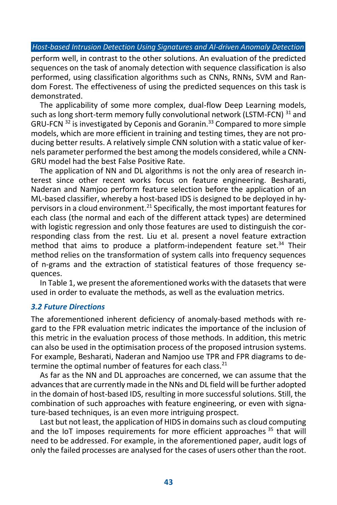perform well, in contrast to the other solutions. An evaluation of the predicted sequences on the task of anomaly detection with sequence classification is also performed, using classification algorithms such as CNNs, RNNs, SVM and Random Forest. The effectiveness of using the predicted sequences on this task is demonstrated.

The applicability of some more complex, dual-flow Deep Learning models, such as long short-term memory fully convolutional network (LSTM-FCN) <sup>31</sup> and GRU-FCN  $32$  is investigated by Ceponis and Goranin.<sup>33</sup> Compared to more simple models, which are more efficient in training and testing times, they are not producing better results. A relatively simple CNN solution with a static value of kernels parameter performed the best among the models considered, while a CNN-GRU model had the best False Positive Rate.

The application of NN and DL algorithms is not the only area of research interest since other recent works focus on feature engineering. Besharati, Naderan and Namjoo perform feature selection before the application of an ML-based classifier, whereby a host-based IDS is designed to be deployed in hypervisors in a cloud environment.<sup>21</sup> Specifically, the most important features for each class (the normal and each of the different attack types) are determined with logistic regression and only those features are used to distinguish the corresponding class from the rest. Liu et al. present a novel feature extraction method that aims to produce a platform-independent feature set.<sup>34</sup> Their method relies on the transformation of system calls into frequency sequences of n-grams and the extraction of statistical features of those frequency sequences.

In Table 1, we present the aforementioned works with the datasets that were used in order to evaluate the methods, as well as the evaluation metrics.

#### *3.2 Future Directions*

The aforementioned inherent deficiency of anomaly-based methods with regard to the FPR evaluation metric indicates the importance of the inclusion of this metric in the evaluation process of those methods. In addition, this metric can also be used in the optimisation process of the proposed intrusion systems. For example, Besharati, Naderan and Namjoo use TPR and FPR diagrams to determine the optimal number of features for each class. $21$ 

As far as the NN and DL approaches are concerned, we can assume that the advances that are currently made in the NNs and DL field will be further adopted in the domain of host-based IDS, resulting in more successful solutions. Still, the combination of such approaches with feature engineering, or even with signature-based techniques, is an even more intriguing prospect.

Last but not least, the application of HIDS in domains such as cloud computing and the IoT imposes requirements for more efficient approaches <sup>35</sup> that will need to be addressed. For example, in the aforementioned paper, audit logs of only the failed processes are analysed for the cases of users other than the root.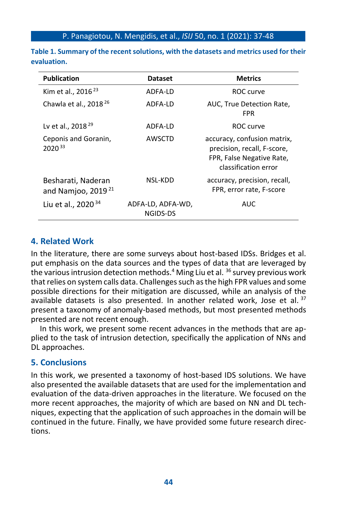| <b>Publication</b>                             | <b>Dataset</b>                | <b>Metrics</b>                                                                                                  |
|------------------------------------------------|-------------------------------|-----------------------------------------------------------------------------------------------------------------|
| Kim et al., 2016 <sup>23</sup>                 | ADFA-ID                       | ROC curve                                                                                                       |
| Chawla et al., 2018 <sup>26</sup>              | ADFA-ID                       | AUC, True Detection Rate,<br><b>FPR</b>                                                                         |
| Lv et al., 2018 <sup>29</sup>                  | ADFA-LD                       | ROC curve                                                                                                       |
| Ceponis and Goranin,<br>$2020^{33}$            | AWSCTD                        | accuracy, confusion matrix,<br>precision, recall, F-score,<br>FPR, False Negative Rate,<br>classification error |
| Besharati, Naderan<br>and Namjoo, 2019 $^{21}$ | NSL-KDD                       | accuracy, precision, recall,<br>FPR, error rate, F-score                                                        |
| Liu et al., 2020 <sup>34</sup>                 | ADFA-LD, ADFA-WD,<br>NGIDS-DS | <b>AUC</b>                                                                                                      |

**Table 1. Summary of the recent solutions, with the datasets and metrics used for their evaluation.** 

## **4. Related Work**

In the literature, there are some surveys about host-based IDSs. Bridges et al. put emphasis on the data sources and the types of data that are leveraged by the various intrusion detection methods.<sup>4</sup> Ming Liu et al. <sup>36</sup> survey previous work that relies on system calls data. Challenges such as the high FPR values and some possible directions for their mitigation are discussed, while an analysis of the available datasets is also presented. In another related work, Jose et al.  $37$ present a taxonomy of anomaly-based methods, but most presented methods presented are not recent enough.

In this work, we present some recent advances in the methods that are applied to the task of intrusion detection, specifically the application of NNs and DL approaches.

## **5. Conclusions**

In this work, we presented a taxonomy of host-based IDS solutions. We have also presented the available datasets that are used for the implementation and evaluation of the data-driven approaches in the literature. We focused on the more recent approaches, the majority of which are based on NN and DL techniques, expecting that the application of such approaches in the domain will be continued in the future. Finally, we have provided some future research directions.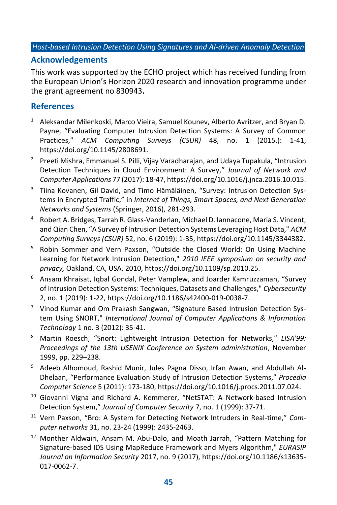## **Acknowledgements**

This work was supported by the ECHO project which has received funding from the European Union's Horizon 2020 research and innovation programme under the grant agreement no 830943**.** 

## **References**

- <sup>1</sup> Aleksandar Milenkoski, Marco Vieira, Samuel Kounev, Alberto Avritzer, and Bryan D. Payne, "Evaluating Computer Intrusion Detection Systems: A Survey of Common Practices," *ACM Computing Surveys (CSUR)* 48, no. 1 (2015.): 1-41, [https://doi.org/10.1145/2808691.](https://doi.org/10.1145/2808691)
- <sup>2</sup> Preeti Mishra, Emmanuel S. Pilli, Vijay Varadharajan, and Udaya Tupakula, "Intrusion Detection Techniques in Cloud Environment: A Survey," *Journal of Network and Computer Applications* 77 (2017): 18-47[, https://doi.org/10.1016/j.jnca.2016.10.015.](https://doi.org/10.1016/j.jnca.2016.10.015)
- <sup>3</sup> Tiina Kovanen, Gil David, and Timo Hämäläinen, "Survey: Intrusion Detection Systems in Encrypted Traffic," in *Internet of Things, Smart Spaces, and Next Generation Networks and Systems* (Springer, 2016), 281-293.
- <sup>4</sup> Robert A. Bridges, Tarrah R. Glass-Vanderlan, Michael D. Iannacone, Maria S. Vincent, and Qian Chen, "A Survey of Intrusion Detection Systems Leveraging Host Data," *ACM Computing Surveys (CSUR)* 52, no. 6 (2019): 1-35[, https://doi.org/10.1145/3344382.](https://doi.org/10.1145/3344382)
- <sup>5</sup> Robin Sommer and Vern Paxson, "Outside the Closed World: On Using Machine Learning for Network Intrusion Detection," *2010 IEEE symposium on security and privacy,* Oakland, CA, USA, 2010, https://doi.org/10.1109/sp.2010.25.
- <sup>6</sup> Ansam Khraisat, Iqbal Gondal, Peter Vamplew, and Joarder Kamruzzaman, "Survey of Intrusion Detection Systems: Techniques, Datasets and Challenges," *Cybersecurity* 2, no. 1 (2019): 1-22, [https://doi.org/10.1186/s42400-019-0038-7.](https://doi.org/10.1186/s42400-019-0038-7)
- $7$  Vinod Kumar and Om Prakash Sangwan, "Signature Based Intrusion Detection System Using SNORT," *International Journal of Computer Applications & Information Technology* 1 no. 3 (2012): 35-41.
- <sup>8</sup> Martin Roesch, "Snort: Lightweight Intrusion Detection for Networks," *LISA'99: Proceedings of the 13th USENIX Conference on System administration*, November 1999, pp. 229–238.
- <sup>9</sup> Adeeb Alhomoud, Rashid Munir, Jules Pagna Disso, Irfan Awan, and Abdullah Al-Dhelaan, "Performance Evaluation Study of Intrusion Detection Systems," *Procedia Computer Science* 5 (2011): 173-180[, https://doi.org/10.1016/j.procs.2011.07.024.](https://doi.org/10.1016/j.procs.2011.07.024)
- <sup>10</sup> Giovanni Vigna and Richard A. Kemmerer, "NetSTAT: A Network-based Intrusion Detection System," *Journal of Computer Security* 7, no. 1 (1999): 37-71.
- <sup>11</sup> Vern Paxson, "Bro: A System for Detecting Network Intruders in Real-time," *Computer networks* 31, no. 23-24 (1999): 2435-2463.
- <sup>12</sup> Monther Aldwairi, Ansam M. Abu-Dalo, and Moath Jarrah, "Pattern Matching for Signature-based IDS Using MapReduce Framework and Myers Algorithm," *EURASIP Journal on Information Security* 2017, no. 9 (2017), [https://doi.org/10.1186/s13635-](https://doi.org/10.1186/s13635-017-0062-7) [017-0062-7.](https://doi.org/10.1186/s13635-017-0062-7)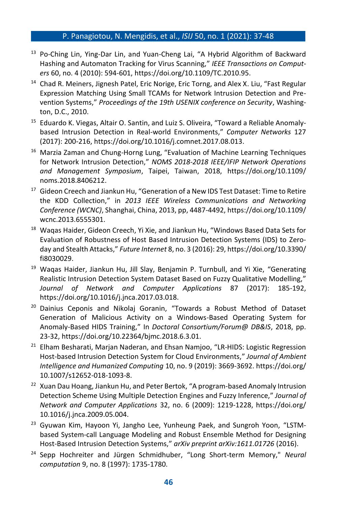- <sup>13</sup> Po-Ching Lin, Ying-Dar Lin, and Yuan-Cheng Lai, "A Hybrid Algorithm of Backward Hashing and Automaton Tracking for Virus Scanning," *IEEE Transactions on Computers* 60, no. 4 (2010): 594-601[, https://doi.org/10.1109/TC.2010.95.](https://doi.org/10.1109/TC.2010.95)
- <sup>14</sup> Chad R. Meiners, Jignesh Patel, Eric Norige, Eric Torng, and Alex X. Liu, "Fast Regular Expression Matching Using Small TCAMs for Network Intrusion Detection and Prevention Systems," *Proceedings of the 19th USENIX conference on Security*, Washington, D.C., 2010.
- <sup>15</sup> Eduardo K. Viegas, Altair O. Santin, and Luiz S. Oliveira, "Toward a Reliable Anomalybased Intrusion Detection in Real-world Environments," *Computer Networks* 127 (2017): 200-216[, https://doi.org/10.1016/j.comnet.2017.08.013.](https://doi.org/10.1016/j.comnet.2017.08.013)
- <sup>16</sup> Marzia Zaman and Chung-Horng Lung, "Evaluation of Machine Learning Techniques for Network Intrusion Detection," *NOMS 2018-2018 IEEE/IFIP Network Operations and Management Symposium*, Taipei, Taiwan, 2018, [https://doi.org/10.1109/](https://doi.org/10.1109/noms.2018.8406212) [noms.2018.8406212.](https://doi.org/10.1109/noms.2018.8406212)
- <sup>17</sup> Gideon Creech and Jiankun Hu, "Generation of a New IDS Test Dataset: Time to Retire the KDD Collection," in *2013 IEEE Wireless Communications and Networking Conference (WCNC)*, Shanghai, China, 2013, pp, 4487-4492[, https://doi.org/10.1109/](https://doi.org/10.1109/wcnc.2013.6555301) [wcnc.2013.6555301.](https://doi.org/10.1109/wcnc.2013.6555301)
- <sup>18</sup> Waqas Haider, Gideon Creech, Yi Xie, and Jiankun Hu, "Windows Based Data Sets for Evaluation of Robustness of Host Based Intrusion Detection Systems (IDS) to Zeroday and Stealth Attacks," *Future Internet* 8, no. 3 (2016): 29[, https://doi.org/10.3390/](https://doi.org/10.3390/fi8030029) [fi8030029.](https://doi.org/10.3390/fi8030029)
- <sup>19</sup> Waqas Haider, Jiankun Hu, Jill Slay, Benjamin P. Turnbull, and Yi Xie, "Generating Realistic Intrusion Detection System Dataset Based on Fuzzy Qualitative Modelling," *Journal of Network and Computer Applications* 87 (2017): 185-192, https://doi.org/10.1016/j.jnca.2017.03.018.
- <sup>20</sup> Dainius Ceponis and Nikolaj Goranin, "Towards a Robust Method of Dataset Generation of Malicious Activity on a Windows-Based Operating System for Anomaly-Based HIDS Training," In *Doctoral Consortium/Forum@ DB&IS*, 2018, pp. 23-32, https://doi.org/10.22364/bjmc.2018.6.3.01.
- <sup>21</sup> Elham Besharati, Marjan Naderan, and Ehsan Namjoo, "LR-HIDS: Logistic Regression Host-based Intrusion Detection System for Cloud Environments," *Journal of Ambient Intelligence and Humanized Computing* 10, no. 9 (2019): 3669-3692[. https://doi.org/](https://doi.org/10.1007/s12652-018-1093-8) [10.1007/s12652-018-1093-8.](https://doi.org/10.1007/s12652-018-1093-8)
- <sup>22</sup> Xuan Dau Hoang, Jiankun Hu, and Peter Bertok, "A program-based Anomaly Intrusion Detection Scheme Using Multiple Detection Engines and Fuzzy Inference," *Journal of Network and Computer Applications* 32, no. 6 (2009): 1219-1228, https://doi.org/ 10.1016/j.jnca.2009.05.004.
- <sup>23</sup> Gyuwan Kim, Hayoon Yi, Jangho Lee, Yunheung Paek, and Sungroh Yoon, "LSTMbased System-call Language Modeling and Robust Ensemble Method for Designing Host-Based Intrusion Detection Systems," *arXiv preprint arXiv:1611.01726* (2016).
- <sup>24</sup> Sepp Hochreiter and Jürgen Schmidhuber, "Long Short-term Memory," *Neural computation* 9, no. 8 (1997): 1735-1780.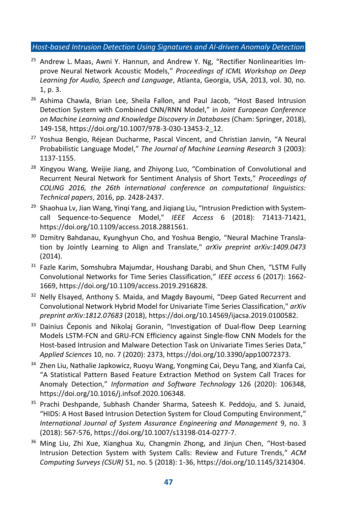- $25$  Andrew L. Maas, Awni Y. Hannun, and Andrew Y. Ng, "Rectifier Nonlinearities Improve Neural Network Acoustic Models," *Proceedings of ICML Workshop on Deep Learning for Audio, Speech and Language*, Atlanta, Georgia, USA, 2013, vol. 30, no. 1, p. 3.
- <sup>26</sup> Ashima Chawla, Brian Lee, Sheila Fallon, and Paul Jacob, "Host Based Intrusion Detection System with Combined CNN/RNN Model," in *Joint European Conference on Machine Learning and Knowledge Discovery in Databases* (Cham: Springer, 2018), 149-158, https://doi.org/10.1007/978-3-030-13453-2\_12.
- <sup>27</sup> Yoshua Bengio, Réjean Ducharme, Pascal Vincent, and Christian Janvin, "A Neural Probabilistic Language Model," *The Journal of Machine Learning Research* 3 (2003): 1137-1155.
- <sup>28</sup> Xingvou Wang, Weijie Jiang, and Zhiyong Luo, "Combination of Convolutional and Recurrent Neural Network for Sentiment Analysis of Short Texts," *Proceedings of COLING 2016, the 26th international conference on computational linguistics: Technical papers*, 2016, pp. 2428-2437.
- <sup>29</sup> Shaohua Lv, Jian Wang, Yinqi Yang, and Jiqiang Liu, "Intrusion Prediction with Systemcall Sequence-to-Sequence Model," *IEEE Access* 6 (2018): 71413-71421, https://doi.org/10.1109/access.2018.2881561.
- <sup>30</sup> Dzmitry Bahdanau, Kyunghyun Cho, and Yoshua Bengio, "Neural Machine Translation by Jointly Learning to Align and Translate," *arXiv preprint arXiv:1409.0473* (2014).
- <sup>31</sup> Fazle Karim, Somshubra Majumdar, Houshang Darabi, and Shun Chen, "LSTM Fully Convolutional Networks for Time Series Classification," *IEEE access* 6 (2017): 1662- 1669, https://doi.org/10.1109/access.2019.2916828.
- <sup>32</sup> Nelly Elsayed, Anthony S. Maida, and Magdy Bayoumi, "Deep Gated Recurrent and Convolutional Network Hybrid Model for Univariate Time Series Classification," *arXiv preprint arXiv:1812.07683* (2018), https://doi.org/10.14569/ijacsa.2019.0100582.
- <sup>33</sup> Dainius Čeponis and Nikolaj Goranin, "Investigation of Dual-flow Deep Learning Models LSTM-FCN and GRU-FCN Efficiency against Single-flow CNN Models for the Host-based Intrusion and Malware Detection Task on Univariate Times Series Data," *Applied Sciences* 10, no. 7 (2020): 2373, https://doi.org/10.3390/app10072373.
- <sup>34</sup> Zhen Liu, Nathalie Japkowicz, Ruoyu Wang, Yongming Cai, Deyu Tang, and Xianfa Cai, "A Statistical Pattern Based Feature Extraction Method on System Call Traces for Anomaly Detection," *Information and Software Technology* 126 (2020): 106348, [https://doi.org/10.1016/j.infsof.2020.106348.](https://doi.org/10.1016/j.infsof.2020.106348)
- <sup>35</sup> Prachi Deshpande, Subhash Chander Sharma, Sateesh K. Peddoju, and S. Junaid, "HIDS: A Host Based Intrusion Detection System for Cloud Computing Environment," *International Journal of System Assurance Engineering and Management* 9, no. 3 (2018): 567-576[, https://doi.org/10.1007/s13198-014-0277-7](https://doi.org/10.1007/s13198-014-0277-7).
- <sup>36</sup> Ming Liu, Zhi Xue, Xianghua Xu, Changmin Zhong, and Jinjun Chen, "Host-based Intrusion Detection System with System Calls: Review and Future Trends," *ACM Computing Surveys (CSUR)* 51, no. 5 (2018): 1-36[, https://doi.org/10.1145/3214304.](https://doi.org/10.1145/3214304)